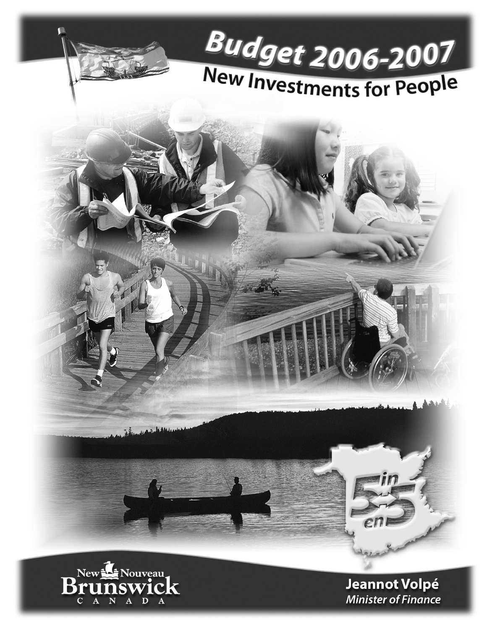

C A N A D A

**Minister of Finance**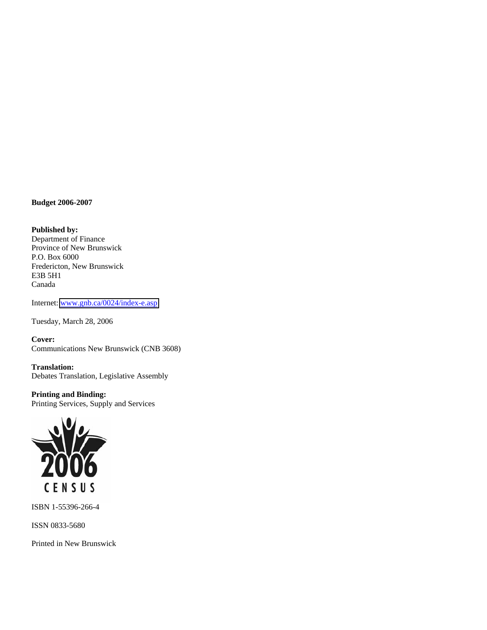**Budget 2006-2007** 

**Published by:**  Department of Finance Province of New Brunswick P.O. Box 6000 Fredericton, New Brunswick E3B 5H1 Canada

Internet: [www.gnb.ca/0024/index-e.asp](http://www.gnb.ca/0024/index-e.asp)

Tuesday, March 28, 2006

**Cover:**  Communications New Brunswick (CNB 3608)

**Translation:**  Debates Translation, Legislative Assembly

**Printing and Binding:**  Printing Services, Supply and Services



ISBN 1-55396-266-4

ISSN 0833-5680

Printed in New Brunswick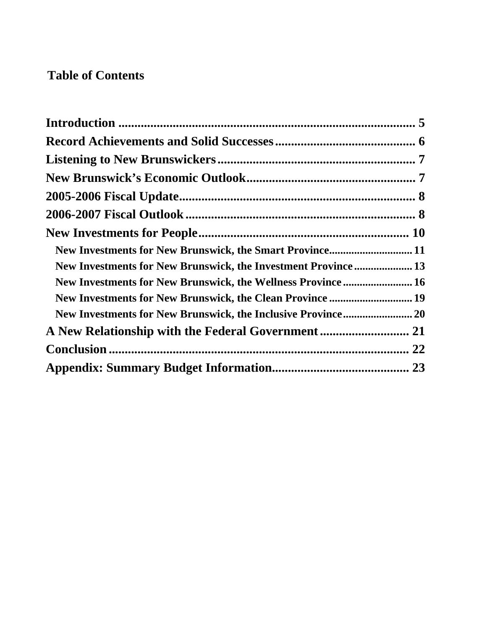# **Table of Contents**

| New Investments for New Brunswick, the Smart Province 11       |  |
|----------------------------------------------------------------|--|
| New Investments for New Brunswick, the Investment Province  13 |  |
| New Investments for New Brunswick, the Wellness Province 16    |  |
| New Investments for New Brunswick, the Clean Province  19      |  |
| New Investments for New Brunswick, the Inclusive Province 20   |  |
|                                                                |  |
|                                                                |  |
|                                                                |  |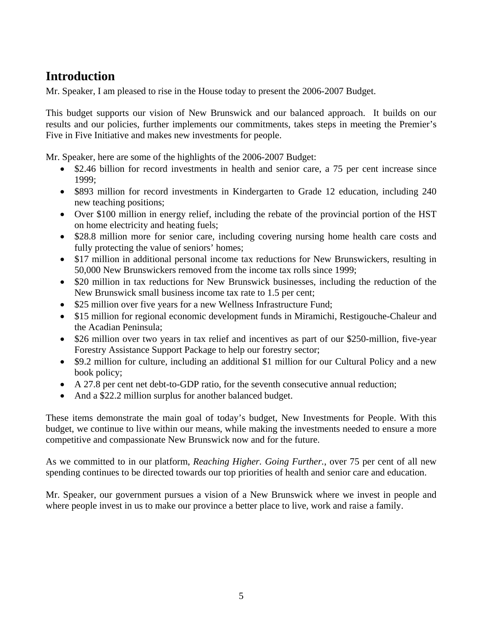# **Introduction**

Mr. Speaker, I am pleased to rise in the House today to present the 2006-2007 Budget.

This budget supports our vision of New Brunswick and our balanced approach. It builds on our results and our policies, further implements our commitments, takes steps in meeting the Premier's Five in Five Initiative and makes new investments for people.

Mr. Speaker, here are some of the highlights of the 2006-2007 Budget:

- \$2.46 billion for record investments in health and senior care, a 75 per cent increase since 1999;
- \$893 million for record investments in Kindergarten to Grade 12 education, including 240 new teaching positions;
- Over \$100 million in energy relief, including the rebate of the provincial portion of the HST on home electricity and heating fuels;
- \$28.8 million more for senior care, including covering nursing home health care costs and fully protecting the value of seniors' homes;
- \$17 million in additional personal income tax reductions for New Brunswickers, resulting in 50,000 New Brunswickers removed from the income tax rolls since 1999;
- \$20 million in tax reductions for New Brunswick businesses, including the reduction of the New Brunswick small business income tax rate to 1.5 per cent;
- \$25 million over five years for a new Wellness Infrastructure Fund;
- \$15 million for regional economic development funds in Miramichi, Restigouche-Chaleur and the Acadian Peninsula;
- \$26 million over two years in tax relief and incentives as part of our \$250-million, five-year Forestry Assistance Support Package to help our forestry sector;
- \$9.2 million for culture, including an additional \$1 million for our Cultural Policy and a new book policy;
- A 27.8 per cent net debt-to-GDP ratio, for the seventh consecutive annual reduction;
- And a \$22.2 million surplus for another balanced budget.

These items demonstrate the main goal of today's budget, New Investments for People. With this budget, we continue to live within our means, while making the investments needed to ensure a more competitive and compassionate New Brunswick now and for the future.

As we committed to in our platform, *Reaching Higher. Going Further.*, over 75 per cent of all new spending continues to be directed towards our top priorities of health and senior care and education.

Mr. Speaker, our government pursues a vision of a New Brunswick where we invest in people and where people invest in us to make our province a better place to live, work and raise a family.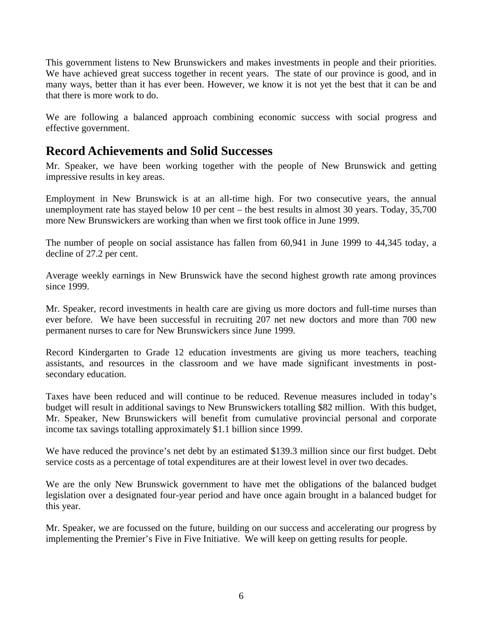This government listens to New Brunswickers and makes investments in people and their priorities. We have achieved great success together in recent years. The state of our province is good, and in many ways, better than it has ever been. However, we know it is not yet the best that it can be and that there is more work to do.

We are following a balanced approach combining economic success with social progress and effective government.

## **Record Achievements and Solid Successes**

Mr. Speaker, we have been working together with the people of New Brunswick and getting impressive results in key areas.

Employment in New Brunswick is at an all-time high. For two consecutive years, the annual unemployment rate has stayed below 10 per cent – the best results in almost 30 years. Today, 35,700 more New Brunswickers are working than when we first took office in June 1999.

The number of people on social assistance has fallen from 60,941 in June 1999 to 44,345 today, a decline of 27.2 per cent.

Average weekly earnings in New Brunswick have the second highest growth rate among provinces since 1999.

Mr. Speaker, record investments in health care are giving us more doctors and full-time nurses than ever before. We have been successful in recruiting 207 net new doctors and more than 700 new permanent nurses to care for New Brunswickers since June 1999.

Record Kindergarten to Grade 12 education investments are giving us more teachers, teaching assistants, and resources in the classroom and we have made significant investments in postsecondary education.

Taxes have been reduced and will continue to be reduced. Revenue measures included in today's budget will result in additional savings to New Brunswickers totalling \$82 million. With this budget, Mr. Speaker, New Brunswickers will benefit from cumulative provincial personal and corporate income tax savings totalling approximately \$1.1 billion since 1999.

We have reduced the province's net debt by an estimated \$139.3 million since our first budget. Debt service costs as a percentage of total expenditures are at their lowest level in over two decades.

We are the only New Brunswick government to have met the obligations of the balanced budget legislation over a designated four-year period and have once again brought in a balanced budget for this year.

Mr. Speaker, we are focussed on the future, building on our success and accelerating our progress by implementing the Premier's Five in Five Initiative. We will keep on getting results for people.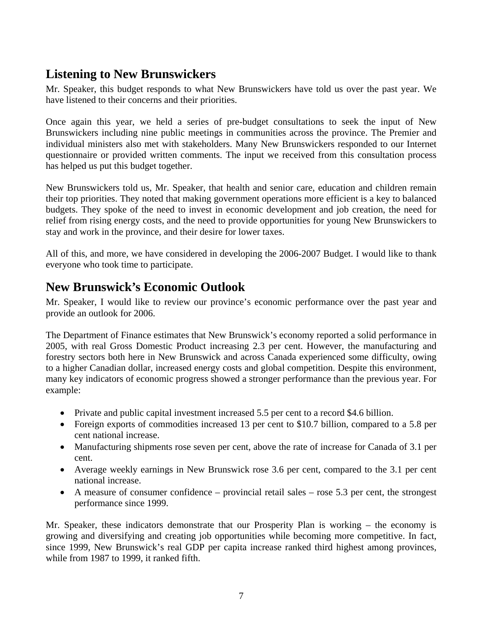# **Listening to New Brunswickers**

Mr. Speaker, this budget responds to what New Brunswickers have told us over the past year. We have listened to their concerns and their priorities.

Once again this year, we held a series of pre-budget consultations to seek the input of New Brunswickers including nine public meetings in communities across the province. The Premier and individual ministers also met with stakeholders. Many New Brunswickers responded to our Internet questionnaire or provided written comments. The input we received from this consultation process has helped us put this budget together.

New Brunswickers told us, Mr. Speaker, that health and senior care, education and children remain their top priorities. They noted that making government operations more efficient is a key to balanced budgets. They spoke of the need to invest in economic development and job creation, the need for relief from rising energy costs, and the need to provide opportunities for young New Brunswickers to stay and work in the province, and their desire for lower taxes.

All of this, and more, we have considered in developing the 2006-2007 Budget. I would like to thank everyone who took time to participate.

# **New Brunswick's Economic Outlook**

Mr. Speaker, I would like to review our province's economic performance over the past year and provide an outlook for 2006.

The Department of Finance estimates that New Brunswick's economy reported a solid performance in 2005, with real Gross Domestic Product increasing 2.3 per cent. However, the manufacturing and forestry sectors both here in New Brunswick and across Canada experienced some difficulty, owing to a higher Canadian dollar, increased energy costs and global competition. Despite this environment, many key indicators of economic progress showed a stronger performance than the previous year. For example:

- Private and public capital investment increased 5.5 per cent to a record \$4.6 billion.
- Foreign exports of commodities increased 13 per cent to \$10.7 billion, compared to a 5.8 per cent national increase.
- Manufacturing shipments rose seven per cent, above the rate of increase for Canada of 3.1 per cent.
- Average weekly earnings in New Brunswick rose 3.6 per cent, compared to the 3.1 per cent national increase.
- A measure of consumer confidence provincial retail sales rose 5.3 per cent, the strongest performance since 1999.

Mr. Speaker, these indicators demonstrate that our Prosperity Plan is working – the economy is growing and diversifying and creating job opportunities while becoming more competitive. In fact, since 1999, New Brunswick's real GDP per capita increase ranked third highest among provinces, while from 1987 to 1999, it ranked fifth.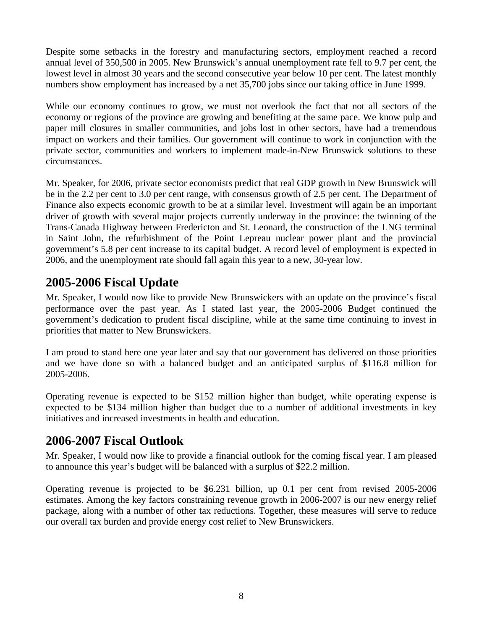Despite some setbacks in the forestry and manufacturing sectors, employment reached a record annual level of 350,500 in 2005. New Brunswick's annual unemployment rate fell to 9.7 per cent, the lowest level in almost 30 years and the second consecutive year below 10 per cent. The latest monthly numbers show employment has increased by a net 35,700 jobs since our taking office in June 1999.

While our economy continues to grow, we must not overlook the fact that not all sectors of the economy or regions of the province are growing and benefiting at the same pace. We know pulp and paper mill closures in smaller communities, and jobs lost in other sectors, have had a tremendous impact on workers and their families. Our government will continue to work in conjunction with the private sector, communities and workers to implement made-in-New Brunswick solutions to these circumstances.

Mr. Speaker, for 2006, private sector economists predict that real GDP growth in New Brunswick will be in the 2.2 per cent to 3.0 per cent range, with consensus growth of 2.5 per cent. The Department of Finance also expects economic growth to be at a similar level. Investment will again be an important driver of growth with several major projects currently underway in the province: the twinning of the Trans-Canada Highway between Fredericton and St. Leonard, the construction of the LNG terminal in Saint John, the refurbishment of the Point Lepreau nuclear power plant and the provincial government's 5.8 per cent increase to its capital budget. A record level of employment is expected in 2006, and the unemployment rate should fall again this year to a new, 30-year low.

# **2005-2006 Fiscal Update**

Mr. Speaker, I would now like to provide New Brunswickers with an update on the province's fiscal performance over the past year. As I stated last year, the 2005-2006 Budget continued the government's dedication to prudent fiscal discipline, while at the same time continuing to invest in priorities that matter to New Brunswickers.

I am proud to stand here one year later and say that our government has delivered on those priorities and we have done so with a balanced budget and an anticipated surplus of \$116.8 million for 2005-2006.

Operating revenue is expected to be \$152 million higher than budget, while operating expense is expected to be \$134 million higher than budget due to a number of additional investments in key initiatives and increased investments in health and education.

# **2006-2007 Fiscal Outlook**

Mr. Speaker, I would now like to provide a financial outlook for the coming fiscal year. I am pleased to announce this year's budget will be balanced with a surplus of \$22.2 million.

Operating revenue is projected to be \$6.231 billion, up 0.1 per cent from revised 2005-2006 estimates. Among the key factors constraining revenue growth in 2006-2007 is our new energy relief package, along with a number of other tax reductions. Together, these measures will serve to reduce our overall tax burden and provide energy cost relief to New Brunswickers.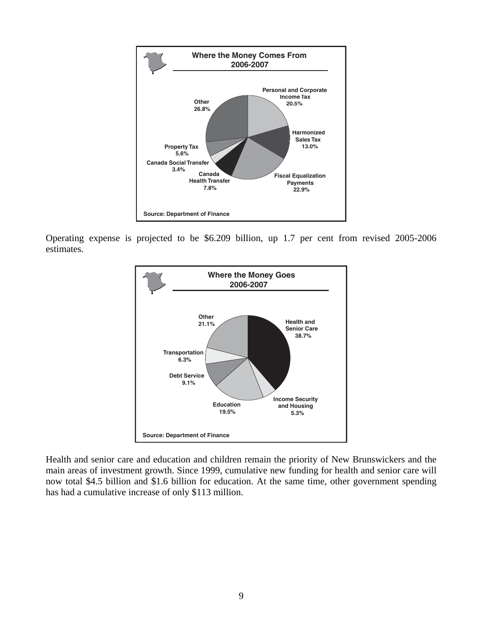

Operating expense is projected to be \$6.209 billion, up 1.7 per cent from revised 2005-2006 estimates.



Health and senior care and education and children remain the priority of New Brunswickers and the main areas of investment growth. Since 1999, cumulative new funding for health and senior care will now total \$4.5 billion and \$1.6 billion for education. At the same time, other government spending has had a cumulative increase of only \$113 million.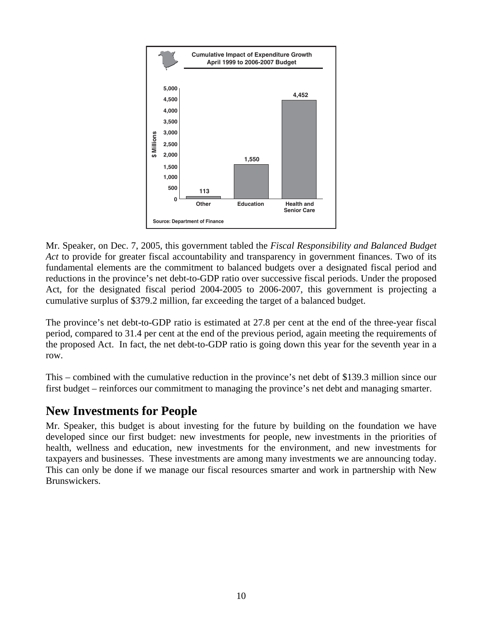

Mr. Speaker, on Dec. 7, 2005, this government tabled the *Fiscal Responsibility and Balanced Budget Act* to provide for greater fiscal accountability and transparency in government finances. Two of its fundamental elements are the commitment to balanced budgets over a designated fiscal period and reductions in the province's net debt-to-GDP ratio over successive fiscal periods. Under the proposed Act, for the designated fiscal period 2004-2005 to 2006-2007, this government is projecting a cumulative surplus of \$379.2 million, far exceeding the target of a balanced budget.

The province's net debt-to-GDP ratio is estimated at 27.8 per cent at the end of the three-year fiscal period, compared to 31.4 per cent at the end of the previous period, again meeting the requirements of the proposed Act. In fact, the net debt-to-GDP ratio is going down this year for the seventh year in a row.

This – combined with the cumulative reduction in the province's net debt of \$139.3 million since our first budget – reinforces our commitment to managing the province's net debt and managing smarter.

## **New Investments for People**

Mr. Speaker, this budget is about investing for the future by building on the foundation we have developed since our first budget: new investments for people, new investments in the priorities of health, wellness and education, new investments for the environment, and new investments for taxpayers and businesses. These investments are among many investments we are announcing today. This can only be done if we manage our fiscal resources smarter and work in partnership with New Brunswickers.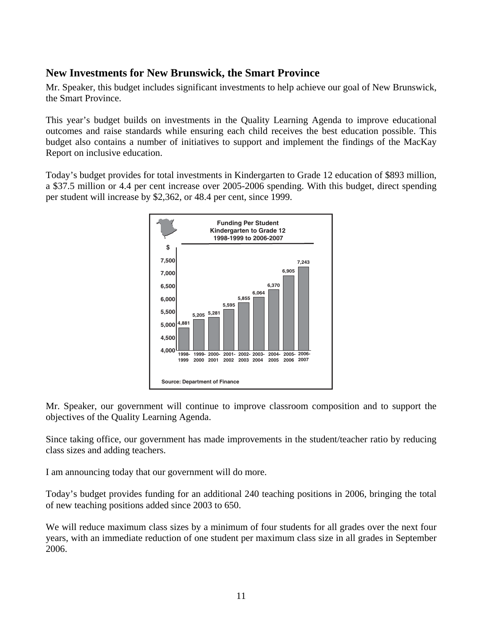## **New Investments for New Brunswick, the Smart Province**

Mr. Speaker, this budget includes significant investments to help achieve our goal of New Brunswick, the Smart Province.

This year's budget builds on investments in the Quality Learning Agenda to improve educational outcomes and raise standards while ensuring each child receives the best education possible. This budget also contains a number of initiatives to support and implement the findings of the MacKay Report on inclusive education.

Today's budget provides for total investments in Kindergarten to Grade 12 education of \$893 million, a \$37.5 million or 4.4 per cent increase over 2005-2006 spending. With this budget, direct spending per student will increase by \$2,362, or 48.4 per cent, since 1999.



Mr. Speaker, our government will continue to improve classroom composition and to support the objectives of the Quality Learning Agenda.

Since taking office, our government has made improvements in the student/teacher ratio by reducing class sizes and adding teachers.

I am announcing today that our government will do more.

Today's budget provides funding for an additional 240 teaching positions in 2006, bringing the total of new teaching positions added since 2003 to 650.

We will reduce maximum class sizes by a minimum of four students for all grades over the next four years, with an immediate reduction of one student per maximum class size in all grades in September 2006.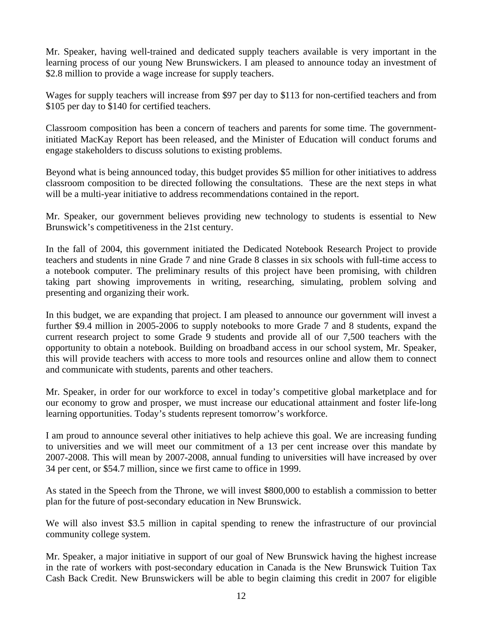Mr. Speaker, having well-trained and dedicated supply teachers available is very important in the learning process of our young New Brunswickers. I am pleased to announce today an investment of \$2.8 million to provide a wage increase for supply teachers.

Wages for supply teachers will increase from \$97 per day to \$113 for non-certified teachers and from \$105 per day to \$140 for certified teachers.

Classroom composition has been a concern of teachers and parents for some time. The governmentinitiated MacKay Report has been released, and the Minister of Education will conduct forums and engage stakeholders to discuss solutions to existing problems.

Beyond what is being announced today, this budget provides \$5 million for other initiatives to address classroom composition to be directed following the consultations. These are the next steps in what will be a multi-year initiative to address recommendations contained in the report.

Mr. Speaker, our government believes providing new technology to students is essential to New Brunswick's competitiveness in the 21st century.

In the fall of 2004, this government initiated the Dedicated Notebook Research Project to provide teachers and students in nine Grade 7 and nine Grade 8 classes in six schools with full-time access to a notebook computer. The preliminary results of this project have been promising, with children taking part showing improvements in writing, researching, simulating, problem solving and presenting and organizing their work.

In this budget, we are expanding that project. I am pleased to announce our government will invest a further \$9.4 million in 2005-2006 to supply notebooks to more Grade 7 and 8 students, expand the current research project to some Grade 9 students and provide all of our 7,500 teachers with the opportunity to obtain a notebook. Building on broadband access in our school system, Mr. Speaker, this will provide teachers with access to more tools and resources online and allow them to connect and communicate with students, parents and other teachers.

Mr. Speaker, in order for our workforce to excel in today's competitive global marketplace and for our economy to grow and prosper, we must increase our educational attainment and foster life-long learning opportunities. Today's students represent tomorrow's workforce.

I am proud to announce several other initiatives to help achieve this goal. We are increasing funding to universities and we will meet our commitment of a 13 per cent increase over this mandate by 2007-2008. This will mean by 2007-2008, annual funding to universities will have increased by over 34 per cent, or \$54.7 million, since we first came to office in 1999.

As stated in the Speech from the Throne, we will invest \$800,000 to establish a commission to better plan for the future of post-secondary education in New Brunswick.

We will also invest \$3.5 million in capital spending to renew the infrastructure of our provincial community college system.

Mr. Speaker, a major initiative in support of our goal of New Brunswick having the highest increase in the rate of workers with post-secondary education in Canada is the New Brunswick Tuition Tax Cash Back Credit. New Brunswickers will be able to begin claiming this credit in 2007 for eligible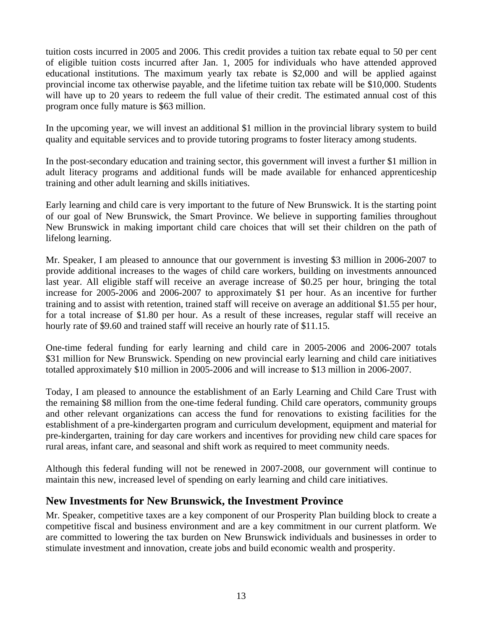tuition costs incurred in 2005 and 2006. This credit provides a tuition tax rebate equal to 50 per cent of eligible tuition costs incurred after Jan. 1, 2005 for individuals who have attended approved educational institutions. The maximum yearly tax rebate is \$2,000 and will be applied against provincial income tax otherwise payable, and the lifetime tuition tax rebate will be \$10,000. Students will have up to 20 years to redeem the full value of their credit. The estimated annual cost of this program once fully mature is \$63 million.

In the upcoming year, we will invest an additional \$1 million in the provincial library system to build quality and equitable services and to provide tutoring programs to foster literacy among students.

In the post-secondary education and training sector, this government will invest a further \$1 million in adult literacy programs and additional funds will be made available for enhanced apprenticeship training and other adult learning and skills initiatives.

Early learning and child care is very important to the future of New Brunswick. It is the starting point of our goal of New Brunswick, the Smart Province. We believe in supporting families throughout New Brunswick in making important child care choices that will set their children on the path of lifelong learning.

Mr. Speaker, I am pleased to announce that our government is investing \$3 million in 2006-2007 to provide additional increases to the wages of child care workers, building on investments announced last year. All eligible staff will receive an average increase of \$0.25 per hour, bringing the total increase for 2005-2006 and 2006-2007 to approximately \$1 per hour. As an incentive for further training and to assist with retention, trained staff will receive on average an additional \$1.55 per hour, for a total increase of \$1.80 per hour. As a result of these increases, regular staff will receive an hourly rate of \$9.60 and trained staff will receive an hourly rate of \$11.15.

One-time federal funding for early learning and child care in 2005-2006 and 2006-2007 totals \$31 million for New Brunswick. Spending on new provincial early learning and child care initiatives totalled approximately \$10 million in 2005-2006 and will increase to \$13 million in 2006-2007.

Today, I am pleased to announce the establishment of an Early Learning and Child Care Trust with the remaining \$8 million from the one-time federal funding. Child care operators, community groups and other relevant organizations can access the fund for renovations to existing facilities for the establishment of a pre-kindergarten program and curriculum development, equipment and material for pre-kindergarten, training for day care workers and incentives for providing new child care spaces for rural areas, infant care, and seasonal and shift work as required to meet community needs.

Although this federal funding will not be renewed in 2007-2008, our government will continue to maintain this new, increased level of spending on early learning and child care initiatives.

### **New Investments for New Brunswick, the Investment Province**

Mr. Speaker, competitive taxes are a key component of our Prosperity Plan building block to create a competitive fiscal and business environment and are a key commitment in our current platform. We are committed to lowering the tax burden on New Brunswick individuals and businesses in order to stimulate investment and innovation, create jobs and build economic wealth and prosperity.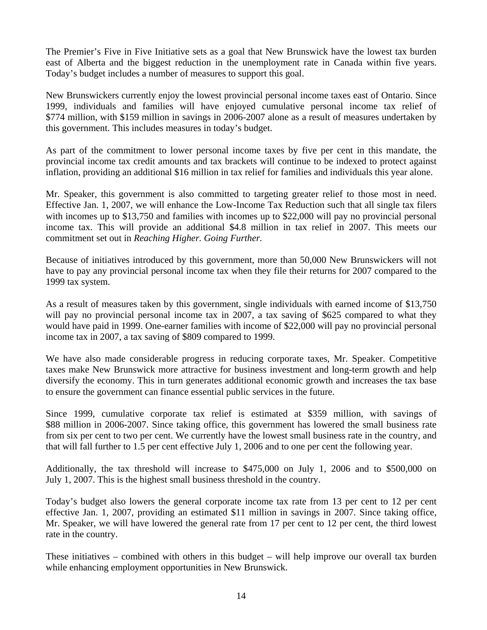The Premier's Five in Five Initiative sets as a goal that New Brunswick have the lowest tax burden east of Alberta and the biggest reduction in the unemployment rate in Canada within five years. Today's budget includes a number of measures to support this goal.

New Brunswickers currently enjoy the lowest provincial personal income taxes east of Ontario. Since 1999, individuals and families will have enjoyed cumulative personal income tax relief of \$774 million, with \$159 million in savings in 2006-2007 alone as a result of measures undertaken by this government. This includes measures in today's budget.

As part of the commitment to lower personal income taxes by five per cent in this mandate, the provincial income tax credit amounts and tax brackets will continue to be indexed to protect against inflation, providing an additional \$16 million in tax relief for families and individuals this year alone.

Mr. Speaker, this government is also committed to targeting greater relief to those most in need. Effective Jan. 1, 2007, we will enhance the Low-Income Tax Reduction such that all single tax filers with incomes up to \$13,750 and families with incomes up to \$22,000 will pay no provincial personal income tax. This will provide an additional \$4.8 million in tax relief in 2007. This meets our commitment set out in *Reaching Higher. Going Further.*

Because of initiatives introduced by this government, more than 50,000 New Brunswickers will not have to pay any provincial personal income tax when they file their returns for 2007 compared to the 1999 tax system.

As a result of measures taken by this government, single individuals with earned income of \$13,750 will pay no provincial personal income tax in 2007, a tax saving of \$625 compared to what they would have paid in 1999. One-earner families with income of \$22,000 will pay no provincial personal income tax in 2007, a tax saving of \$809 compared to 1999.

We have also made considerable progress in reducing corporate taxes, Mr. Speaker. Competitive taxes make New Brunswick more attractive for business investment and long-term growth and help diversify the economy. This in turn generates additional economic growth and increases the tax base to ensure the government can finance essential public services in the future.

Since 1999, cumulative corporate tax relief is estimated at \$359 million, with savings of \$88 million in 2006-2007. Since taking office, this government has lowered the small business rate from six per cent to two per cent. We currently have the lowest small business rate in the country, and that will fall further to 1.5 per cent effective July 1, 2006 and to one per cent the following year.

Additionally, the tax threshold will increase to \$475,000 on July 1, 2006 and to \$500,000 on July 1, 2007. This is the highest small business threshold in the country.

Today's budget also lowers the general corporate income tax rate from 13 per cent to 12 per cent effective Jan. 1, 2007, providing an estimated \$11 million in savings in 2007. Since taking office, Mr. Speaker, we will have lowered the general rate from 17 per cent to 12 per cent, the third lowest rate in the country.

These initiatives – combined with others in this budget – will help improve our overall tax burden while enhancing employment opportunities in New Brunswick.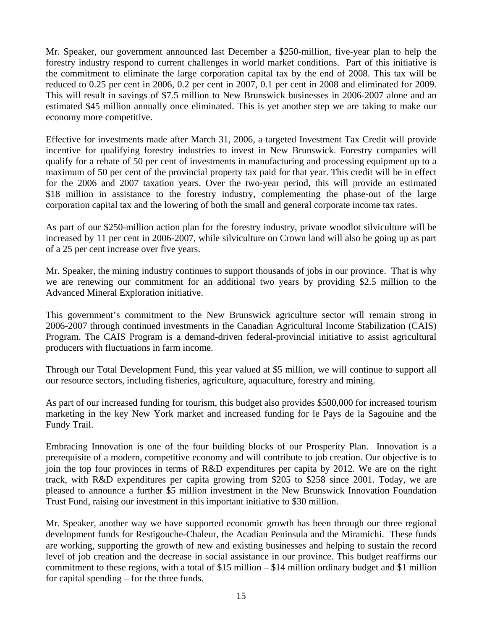Mr. Speaker, our government announced last December a \$250-million, five-year plan to help the forestry industry respond to current challenges in world market conditions. Part of this initiative is the commitment to eliminate the large corporation capital tax by the end of 2008. This tax will be reduced to 0.25 per cent in 2006, 0.2 per cent in 2007, 0.1 per cent in 2008 and eliminated for 2009. This will result in savings of \$7.5 million to New Brunswick businesses in 2006-2007 alone and an estimated \$45 million annually once eliminated. This is yet another step we are taking to make our economy more competitive.

Effective for investments made after March 31, 2006, a targeted Investment Tax Credit will provide incentive for qualifying forestry industries to invest in New Brunswick. Forestry companies will qualify for a rebate of 50 per cent of investments in manufacturing and processing equipment up to a maximum of 50 per cent of the provincial property tax paid for that year. This credit will be in effect for the 2006 and 2007 taxation years. Over the two-year period, this will provide an estimated \$18 million in assistance to the forestry industry, complementing the phase-out of the large corporation capital tax and the lowering of both the small and general corporate income tax rates.

As part of our \$250-million action plan for the forestry industry, private woodlot silviculture will be increased by 11 per cent in 2006-2007, while silviculture on Crown land will also be going up as part of a 25 per cent increase over five years.

Mr. Speaker, the mining industry continues to support thousands of jobs in our province. That is why we are renewing our commitment for an additional two years by providing \$2.5 million to the Advanced Mineral Exploration initiative.

This government's commitment to the New Brunswick agriculture sector will remain strong in 2006-2007 through continued investments in the Canadian Agricultural Income Stabilization (CAIS) Program. The CAIS Program is a demand-driven federal-provincial initiative to assist agricultural producers with fluctuations in farm income.

Through our Total Development Fund, this year valued at \$5 million, we will continue to support all our resource sectors, including fisheries, agriculture, aquaculture, forestry and mining.

As part of our increased funding for tourism, this budget also provides \$500,000 for increased tourism marketing in the key New York market and increased funding for le Pays de la Sagouine and the Fundy Trail.

Embracing Innovation is one of the four building blocks of our Prosperity Plan. Innovation is a prerequisite of a modern, competitive economy and will contribute to job creation. Our objective is to join the top four provinces in terms of R&D expenditures per capita by 2012. We are on the right track, with R&D expenditures per capita growing from \$205 to \$258 since 2001. Today, we are pleased to announce a further \$5 million investment in the New Brunswick Innovation Foundation Trust Fund, raising our investment in this important initiative to \$30 million.

Mr. Speaker, another way we have supported economic growth has been through our three regional development funds for Restigouche-Chaleur, the Acadian Peninsula and the Miramichi. These funds are working, supporting the growth of new and existing businesses and helping to sustain the record level of job creation and the decrease in social assistance in our province. This budget reaffirms our commitment to these regions, with a total of \$15 million – \$14 million ordinary budget and \$1 million for capital spending – for the three funds.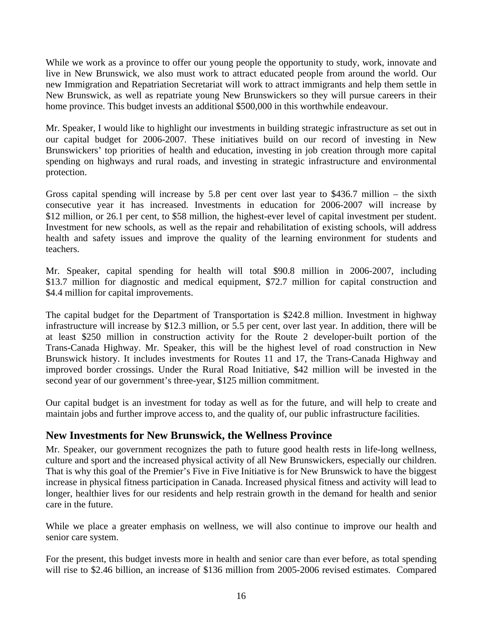While we work as a province to offer our young people the opportunity to study, work, innovate and live in New Brunswick, we also must work to attract educated people from around the world. Our new Immigration and Repatriation Secretariat will work to attract immigrants and help them settle in New Brunswick, as well as repatriate young New Brunswickers so they will pursue careers in their home province. This budget invests an additional \$500,000 in this worthwhile endeavour.

Mr. Speaker, I would like to highlight our investments in building strategic infrastructure as set out in our capital budget for 2006-2007. These initiatives build on our record of investing in New Brunswickers' top priorities of health and education, investing in job creation through more capital spending on highways and rural roads, and investing in strategic infrastructure and environmental protection.

Gross capital spending will increase by 5.8 per cent over last year to \$436.7 million – the sixth consecutive year it has increased. Investments in education for 2006-2007 will increase by \$12 million, or 26.1 per cent, to \$58 million, the highest-ever level of capital investment per student. Investment for new schools, as well as the repair and rehabilitation of existing schools, will address health and safety issues and improve the quality of the learning environment for students and teachers.

Mr. Speaker, capital spending for health will total \$90.8 million in 2006-2007, including \$13.7 million for diagnostic and medical equipment, \$72.7 million for capital construction and \$4.4 million for capital improvements.

The capital budget for the Department of Transportation is \$242.8 million. Investment in highway infrastructure will increase by \$12.3 million, or 5.5 per cent, over last year. In addition, there will be at least \$250 million in construction activity for the Route 2 developer-built portion of the Trans-Canada Highway. Mr. Speaker, this will be the highest level of road construction in New Brunswick history. It includes investments for Routes 11 and 17, the Trans-Canada Highway and improved border crossings. Under the Rural Road Initiative, \$42 million will be invested in the second year of our government's three-year, \$125 million commitment.

Our capital budget is an investment for today as well as for the future, and will help to create and maintain jobs and further improve access to, and the quality of, our public infrastructure facilities.

### **New Investments for New Brunswick, the Wellness Province**

Mr. Speaker, our government recognizes the path to future good health rests in life-long wellness, culture and sport and the increased physical activity of all New Brunswickers, especially our children. That is why this goal of the Premier's Five in Five Initiative is for New Brunswick to have the biggest increase in physical fitness participation in Canada. Increased physical fitness and activity will lead to longer, healthier lives for our residents and help restrain growth in the demand for health and senior care in the future.

While we place a greater emphasis on wellness, we will also continue to improve our health and senior care system.

For the present, this budget invests more in health and senior care than ever before, as total spending will rise to \$2.46 billion, an increase of \$136 million from 2005-2006 revised estimates. Compared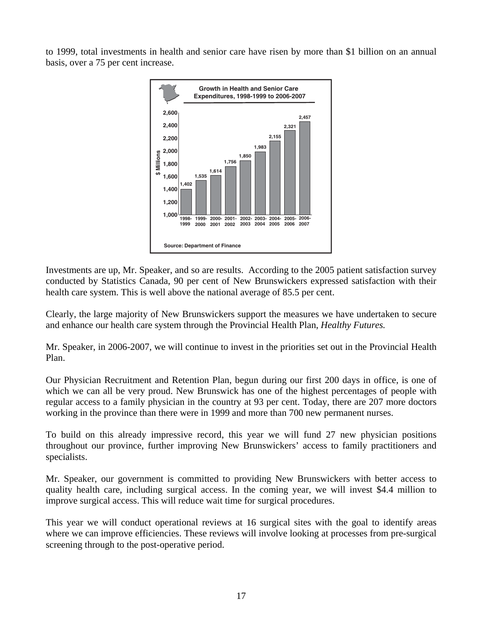to 1999, total investments in health and senior care have risen by more than \$1 billion on an annual basis, over a 75 per cent increase.



Investments are up, Mr. Speaker, and so are results. According to the 2005 patient satisfaction survey conducted by Statistics Canada, 90 per cent of New Brunswickers expressed satisfaction with their health care system. This is well above the national average of 85.5 per cent.

Clearly, the large majority of New Brunswickers support the measures we have undertaken to secure and enhance our health care system through the Provincial Health Plan, *Healthy Futures.* 

Mr. Speaker, in 2006-2007, we will continue to invest in the priorities set out in the Provincial Health Plan.

Our Physician Recruitment and Retention Plan, begun during our first 200 days in office, is one of which we can all be very proud. New Brunswick has one of the highest percentages of people with regular access to a family physician in the country at 93 per cent. Today, there are 207 more doctors working in the province than there were in 1999 and more than 700 new permanent nurses.

To build on this already impressive record, this year we will fund 27 new physician positions throughout our province, further improving New Brunswickers' access to family practitioners and specialists.

Mr. Speaker, our government is committed to providing New Brunswickers with better access to quality health care, including surgical access. In the coming year, we will invest \$4.4 million to improve surgical access. This will reduce wait time for surgical procedures.

This year we will conduct operational reviews at 16 surgical sites with the goal to identify areas where we can improve efficiencies. These reviews will involve looking at processes from pre-surgical screening through to the post-operative period.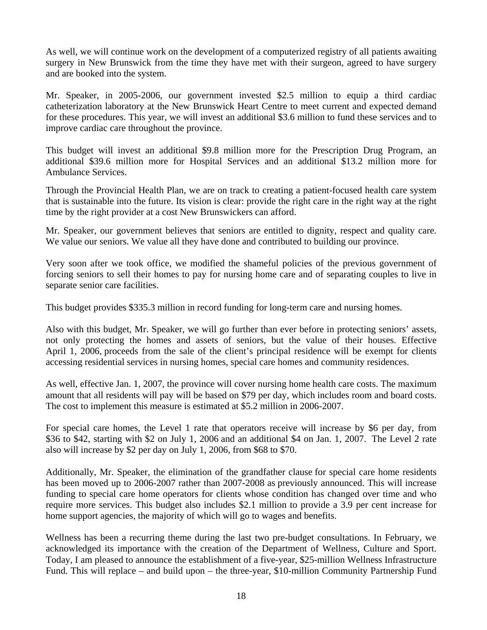As well, we will continue work on the development of a computerized registry of all patients awaiting surgery in New Brunswick from the time they have met with their surgeon, agreed to have surgery and are booked into the system.

Mr. Speaker, in 2005-2006, our government invested \$2.5 million to equip a third cardiac catheterization laboratory at the New Brunswick Heart Centre to meet current and expected demand for these procedures. This year, we will invest an additional \$3.6 million to fund these services and to improve cardiac care throughout the province.

This budget will invest an additional \$9.8 million more for the Prescription Drug Program, an additional \$39.6 million more for Hospital Services and an additional \$13.2 million more for Ambulance Services.

Through the Provincial Health Plan, we are on track to creating a patient-focused health care system that is sustainable into the future. Its vision is clear: provide the right care in the right way at the right time by the right provider at a cost New Brunswickers can afford.

Mr. Speaker, our government believes that seniors are entitled to dignity, respect and quality care. We value our seniors. We value all they have done and contributed to building our province.

Very soon after we took office, we modified the shameful policies of the previous government of forcing seniors to sell their homes to pay for nursing home care and of separating couples to live in separate senior care facilities.

This budget provides \$335.3 million in record funding for long-term care and nursing homes.

Also with this budget, Mr. Speaker, we will go further than ever before in protecting seniors' assets, not only protecting the homes and assets of seniors, but the value of their houses. Effective April 1, 2006, proceeds from the sale of the client's principal residence will be exempt for clients accessing residential services in nursing homes, special care homes and community residences.

As well, effective Jan. 1, 2007, the province will cover nursing home health care costs. The maximum amount that all residents will pay will be based on \$79 per day, which includes room and board costs. The cost to implement this measure is estimated at \$5.2 million in 2006-2007.

For special care homes, the Level 1 rate that operators receive will increase by \$6 per day, from \$36 to \$42, starting with \$2 on July 1, 2006 and an additional \$4 on Jan. 1, 2007. The Level 2 rate also will increase by \$2 per day on July 1, 2006, from \$68 to \$70.

Additionally, Mr. Speaker, the elimination of the grandfather clause for special care home residents has been moved up to 2006-2007 rather than 2007-2008 as previously announced. This will increase funding to special care home operators for clients whose condition has changed over time and who require more services. This budget also includes \$2.1 million to provide a 3.9 per cent increase for home support agencies, the majority of which will go to wages and benefits.

Wellness has been a recurring theme during the last two pre-budget consultations. In February, we acknowledged its importance with the creation of the Department of Wellness, Culture and Sport. Today, I am pleased to announce the establishment of a five-year, \$25-million Wellness Infrastructure Fund. This will replace – and build upon – the three-year, \$10-million Community Partnership Fund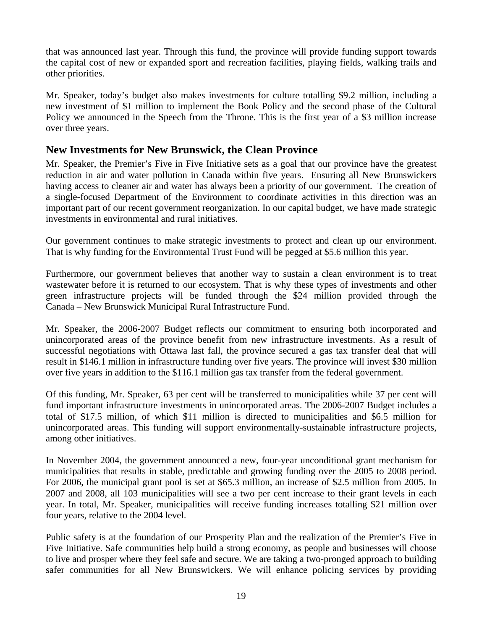that was announced last year. Through this fund, the province will provide funding support towards the capital cost of new or expanded sport and recreation facilities, playing fields, walking trails and other priorities.

Mr. Speaker, today's budget also makes investments for culture totalling \$9.2 million, including a new investment of \$1 million to implement the Book Policy and the second phase of the Cultural Policy we announced in the Speech from the Throne. This is the first year of a \$3 million increase over three years.

### **New Investments for New Brunswick, the Clean Province**

Mr. Speaker, the Premier's Five in Five Initiative sets as a goal that our province have the greatest reduction in air and water pollution in Canada within five years. Ensuring all New Brunswickers having access to cleaner air and water has always been a priority of our government. The creation of a single-focused Department of the Environment to coordinate activities in this direction was an important part of our recent government reorganization. In our capital budget, we have made strategic investments in environmental and rural initiatives.

Our government continues to make strategic investments to protect and clean up our environment. That is why funding for the Environmental Trust Fund will be pegged at \$5.6 million this year.

Furthermore, our government believes that another way to sustain a clean environment is to treat wastewater before it is returned to our ecosystem. That is why these types of investments and other green infrastructure projects will be funded through the \$24 million provided through the Canada – New Brunswick Municipal Rural Infrastructure Fund.

Mr. Speaker, the 2006-2007 Budget reflects our commitment to ensuring both incorporated and unincorporated areas of the province benefit from new infrastructure investments. As a result of successful negotiations with Ottawa last fall, the province secured a gas tax transfer deal that will result in \$146.1 million in infrastructure funding over five years. The province will invest \$30 million over five years in addition to the \$116.1 million gas tax transfer from the federal government.

Of this funding, Mr. Speaker, 63 per cent will be transferred to municipalities while 37 per cent will fund important infrastructure investments in unincorporated areas. The 2006-2007 Budget includes a total of \$17.5 million, of which \$11 million is directed to municipalities and \$6.5 million for unincorporated areas. This funding will support environmentally-sustainable infrastructure projects, among other initiatives.

In November 2004, the government announced a new, four-year unconditional grant mechanism for municipalities that results in stable, predictable and growing funding over the 2005 to 2008 period. For 2006, the municipal grant pool is set at \$65.3 million, an increase of \$2.5 million from 2005. In 2007 and 2008, all 103 municipalities will see a two per cent increase to their grant levels in each year. In total, Mr. Speaker, municipalities will receive funding increases totalling \$21 million over four years, relative to the 2004 level.

Public safety is at the foundation of our Prosperity Plan and the realization of the Premier's Five in Five Initiative. Safe communities help build a strong economy, as people and businesses will choose to live and prosper where they feel safe and secure. We are taking a two-pronged approach to building safer communities for all New Brunswickers. We will enhance policing services by providing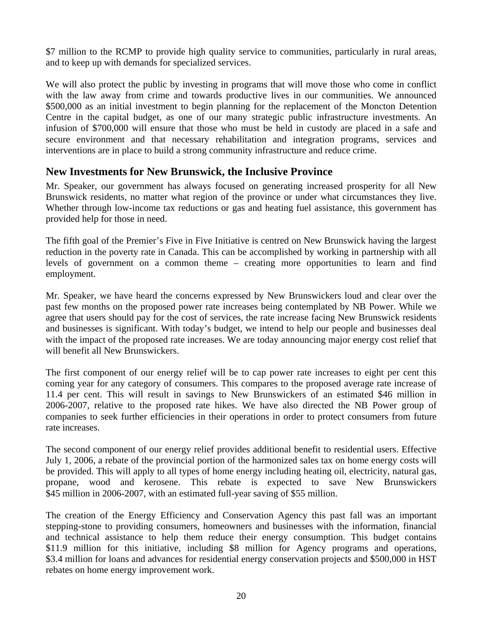\$7 million to the RCMP to provide high quality service to communities, particularly in rural areas, and to keep up with demands for specialized services.

We will also protect the public by investing in programs that will move those who come in conflict with the law away from crime and towards productive lives in our communities. We announced \$500,000 as an initial investment to begin planning for the replacement of the Moncton Detention Centre in the capital budget, as one of our many strategic public infrastructure investments. An infusion of \$700,000 will ensure that those who must be held in custody are placed in a safe and secure environment and that necessary rehabilitation and integration programs, services and interventions are in place to build a strong community infrastructure and reduce crime.

### **New Investments for New Brunswick, the Inclusive Province**

Mr. Speaker, our government has always focused on generating increased prosperity for all New Brunswick residents, no matter what region of the province or under what circumstances they live. Whether through low-income tax reductions or gas and heating fuel assistance, this government has provided help for those in need.

The fifth goal of the Premier's Five in Five Initiative is centred on New Brunswick having the largest reduction in the poverty rate in Canada. This can be accomplished by working in partnership with all levels of government on a common theme – creating more opportunities to learn and find employment.

Mr. Speaker, we have heard the concerns expressed by New Brunswickers loud and clear over the past few months on the proposed power rate increases being contemplated by NB Power. While we agree that users should pay for the cost of services, the rate increase facing New Brunswick residents and businesses is significant. With today's budget, we intend to help our people and businesses deal with the impact of the proposed rate increases. We are today announcing major energy cost relief that will benefit all New Brunswickers.

The first component of our energy relief will be to cap power rate increases to eight per cent this coming year for any category of consumers. This compares to the proposed average rate increase of 11.4 per cent. This will result in savings to New Brunswickers of an estimated \$46 million in 2006-2007, relative to the proposed rate hikes. We have also directed the NB Power group of companies to seek further efficiencies in their operations in order to protect consumers from future rate increases.

The second component of our energy relief provides additional benefit to residential users. Effective July 1, 2006, a rebate of the provincial portion of the harmonized sales tax on home energy costs will be provided. This will apply to all types of home energy including heating oil, electricity, natural gas, propane, wood and kerosene. This rebate is expected to save New Brunswickers \$45 million in 2006-2007, with an estimated full-year saving of \$55 million.

The creation of the Energy Efficiency and Conservation Agency this past fall was an important stepping-stone to providing consumers, homeowners and businesses with the information, financial and technical assistance to help them reduce their energy consumption. This budget contains \$11.9 million for this initiative, including \$8 million for Agency programs and operations, \$3.4 million for loans and advances for residential energy conservation projects and \$500,000 in HST rebates on home energy improvement work.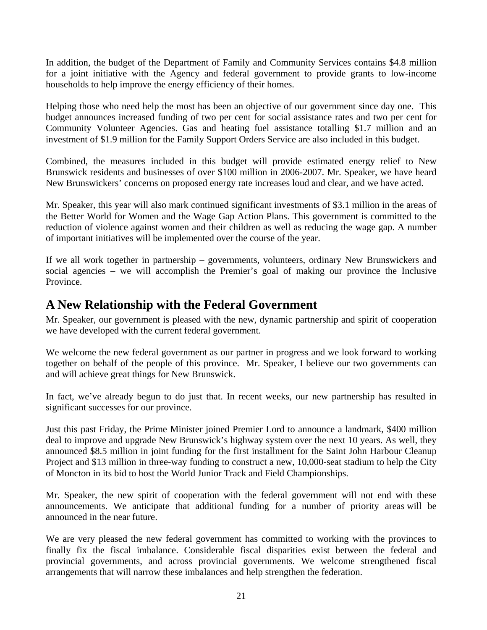In addition, the budget of the Department of Family and Community Services contains \$4.8 million for a joint initiative with the Agency and federal government to provide grants to low-income households to help improve the energy efficiency of their homes.

Helping those who need help the most has been an objective of our government since day one. This budget announces increased funding of two per cent for social assistance rates and two per cent for Community Volunteer Agencies. Gas and heating fuel assistance totalling \$1.7 million and an investment of \$1.9 million for the Family Support Orders Service are also included in this budget.

Combined, the measures included in this budget will provide estimated energy relief to New Brunswick residents and businesses of over \$100 million in 2006-2007. Mr. Speaker, we have heard New Brunswickers' concerns on proposed energy rate increases loud and clear, and we have acted.

Mr. Speaker, this year will also mark continued significant investments of \$3.1 million in the areas of the Better World for Women and the Wage Gap Action Plans. This government is committed to the reduction of violence against women and their children as well as reducing the wage gap. A number of important initiatives will be implemented over the course of the year.

If we all work together in partnership – governments, volunteers, ordinary New Brunswickers and social agencies – we will accomplish the Premier's goal of making our province the Inclusive Province.

# **A New Relationship with the Federal Government**

Mr. Speaker, our government is pleased with the new, dynamic partnership and spirit of cooperation we have developed with the current federal government.

We welcome the new federal government as our partner in progress and we look forward to working together on behalf of the people of this province. Mr. Speaker, I believe our two governments can and will achieve great things for New Brunswick.

In fact, we've already begun to do just that. In recent weeks, our new partnership has resulted in significant successes for our province.

Just this past Friday, the Prime Minister joined Premier Lord to announce a landmark, \$400 million deal to improve and upgrade New Brunswick's highway system over the next 10 years. As well, they announced \$8.5 million in joint funding for the first installment for the Saint John Harbour Cleanup Project and \$13 million in three-way funding to construct a new, 10,000-seat stadium to help the City of Moncton in its bid to host the World Junior Track and Field Championships.

Mr. Speaker, the new spirit of cooperation with the federal government will not end with these announcements. We anticipate that additional funding for a number of priority areas will be announced in the near future.

We are very pleased the new federal government has committed to working with the provinces to finally fix the fiscal imbalance. Considerable fiscal disparities exist between the federal and provincial governments, and across provincial governments. We welcome strengthened fiscal arrangements that will narrow these imbalances and help strengthen the federation.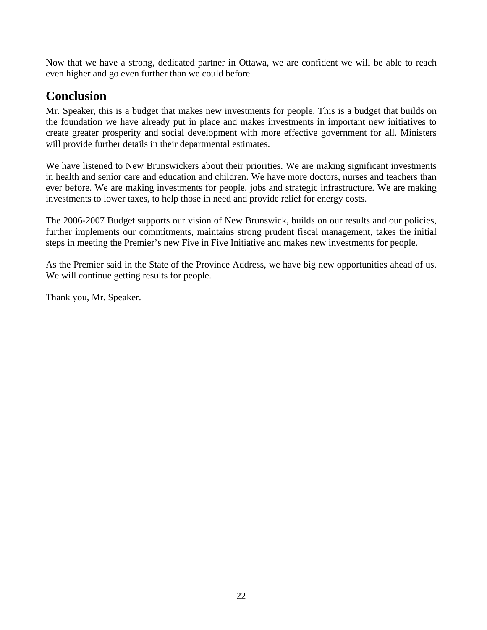Now that we have a strong, dedicated partner in Ottawa, we are confident we will be able to reach even higher and go even further than we could before.

# **Conclusion**

Mr. Speaker, this is a budget that makes new investments for people. This is a budget that builds on the foundation we have already put in place and makes investments in important new initiatives to create greater prosperity and social development with more effective government for all. Ministers will provide further details in their departmental estimates.

We have listened to New Brunswickers about their priorities. We are making significant investments in health and senior care and education and children. We have more doctors, nurses and teachers than ever before. We are making investments for people, jobs and strategic infrastructure. We are making investments to lower taxes, to help those in need and provide relief for energy costs.

The 2006-2007 Budget supports our vision of New Brunswick, builds on our results and our policies, further implements our commitments, maintains strong prudent fiscal management, takes the initial steps in meeting the Premier's new Five in Five Initiative and makes new investments for people.

As the Premier said in the State of the Province Address, we have big new opportunities ahead of us. We will continue getting results for people.

Thank you, Mr. Speaker.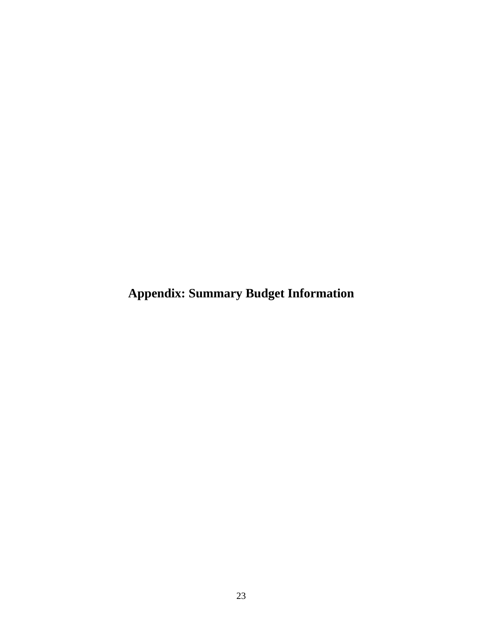**Appendix: Summary Budget Information**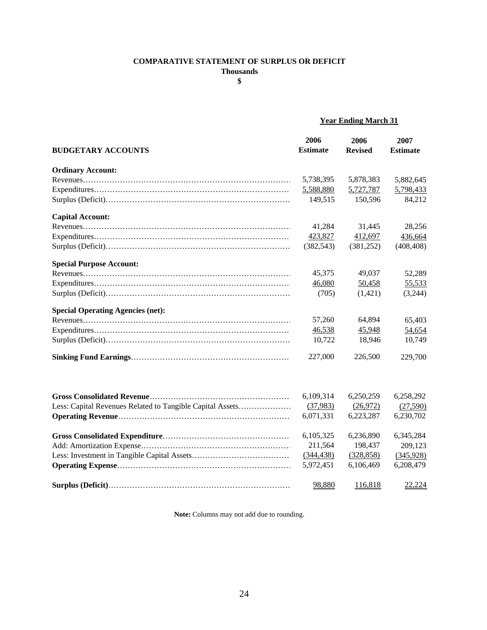#### **COMPARATIVE STATEMENT OF SURPLUS OR DEFICIT**

**Thousands**

**\$**

### **Year Ending March 31**

|                                                           | 2006            | 2006           | 2007            |
|-----------------------------------------------------------|-----------------|----------------|-----------------|
| <b>BUDGETARY ACCOUNTS</b>                                 | <b>Estimate</b> | <b>Revised</b> | <b>Estimate</b> |
| <b>Ordinary Account:</b>                                  |                 |                |                 |
|                                                           | 5,738,395       | 5,878,383      | 5,882,645       |
|                                                           | 5,588,880       | 5,727,787      | 5,798,433       |
|                                                           | 149,515         | 150,596        | 84,212          |
| <b>Capital Account:</b>                                   |                 |                |                 |
|                                                           | 41,284          | 31,445         | 28,256          |
|                                                           | 423,827         | 412,697        | 436,664         |
|                                                           | (382, 543)      | (381, 252)     | (408, 408)      |
| <b>Special Purpose Account:</b>                           |                 |                |                 |
|                                                           | 45,375          | 49,037         | 52,289          |
|                                                           | 46,080          | 50,458         | 55,533          |
|                                                           | (705)           | (1,421)        | (3,244)         |
| <b>Special Operating Agencies (net):</b>                  |                 |                |                 |
|                                                           | 57,260          | 64,894         | 65,403          |
|                                                           | 46,538          | 45,948         | 54,654          |
|                                                           | 10,722          | 18,946         | 10,749          |
|                                                           | 227,000         | 226,500        | 229,700         |
|                                                           |                 |                |                 |
|                                                           | 6,109,314       | 6,250,259      | 6,258,292       |
| Less: Capital Revenues Related to Tangible Capital Assets | (37,983)        | (26,972)       | (27,590)        |
|                                                           | 6,071,331       | 6,223,287      | 6,230,702       |
|                                                           | 6,105,325       | 6,236,890      | 6,345,284       |
|                                                           | 211,564         | 198,437        | 209,123         |
|                                                           | (344, 438)      | (328, 858)     | (345,928)       |
|                                                           | 5,972,451       | 6,106,469      | 6,208,479       |
|                                                           | 98,880          | 116,818        | 22,224          |

**Note:** Columns may not add due to rounding.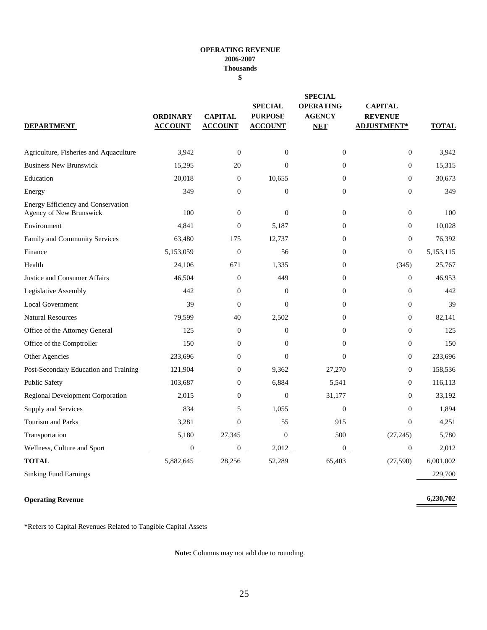#### **OPERATING REVENUE 2006-2007 Thousands \$**

| <b>DEPARTMENT</b>                                             | <b>ORDINARY</b><br><b>ACCOUNT</b> | <b>CAPITAL</b><br><b>ACCOUNT</b> | <b>SPECIAL</b><br><b>PURPOSE</b><br><b>ACCOUNT</b> | <b>SPECIAL</b><br><b>OPERATING</b><br><b>AGENCY</b><br><b>NET</b> | <b>CAPITAL</b><br><b>REVENUE</b><br><b>ADJUSTMENT*</b> | <b>TOTAL</b> |
|---------------------------------------------------------------|-----------------------------------|----------------------------------|----------------------------------------------------|-------------------------------------------------------------------|--------------------------------------------------------|--------------|
|                                                               |                                   |                                  |                                                    |                                                                   |                                                        |              |
| Agriculture, Fisheries and Aquaculture                        | 3,942                             | $\boldsymbol{0}$                 | $\mathbf{0}$                                       | $\boldsymbol{0}$                                                  | $\boldsymbol{0}$                                       | 3,942        |
| <b>Business New Brunswick</b>                                 | 15,295                            | 20                               | $\theta$                                           | $\mathbf{0}$                                                      | $\boldsymbol{0}$                                       | 15,315       |
| Education                                                     | 20,018                            | $\mathbf{0}$                     | 10,655                                             | $\mathbf{0}$                                                      | $\mathbf{0}$                                           | 30,673       |
| Energy                                                        | 349                               | $\boldsymbol{0}$                 | $\boldsymbol{0}$                                   | $\mathbf{0}$                                                      | $\boldsymbol{0}$                                       | 349          |
| Energy Efficiency and Conservation<br>Agency of New Brunswick | 100                               | $\boldsymbol{0}$                 | $\mathbf{0}$                                       | $\mathbf{0}$                                                      | $\boldsymbol{0}$                                       | 100          |
| Environment                                                   | 4,841                             | $\mathbf{0}$                     | 5,187                                              | $\mathbf{0}$                                                      | $\mathbf{0}$                                           | 10,028       |
| Family and Community Services                                 | 63,480                            | 175                              | 12,737                                             | $\overline{0}$                                                    | $\mathbf{0}$                                           | 76,392       |
| Finance                                                       | 5,153,059                         | $\boldsymbol{0}$                 | 56                                                 | $\mathbf{0}$                                                      | $\boldsymbol{0}$                                       | 5,153,115    |
| Health                                                        | 24,106                            | 671                              | 1,335                                              | $\mathbf{0}$                                                      | (345)                                                  | 25,767       |
| Justice and Consumer Affairs                                  | 46,504                            | $\boldsymbol{0}$                 | 449                                                | $\mathbf{0}$                                                      | $\boldsymbol{0}$                                       | 46,953       |
| Legislative Assembly                                          | 442                               | $\mathbf{0}$                     | $\mathbf{0}$                                       | $\mathbf{0}$                                                      | $\mathbf{0}$                                           | 442          |
| <b>Local Government</b>                                       | 39                                | $\boldsymbol{0}$                 | $\boldsymbol{0}$                                   | $\boldsymbol{0}$                                                  | $\boldsymbol{0}$                                       | 39           |
| <b>Natural Resources</b>                                      | 79,599                            | 40                               | 2,502                                              | $\mathbf{0}$                                                      | $\mathbf{0}$                                           | 82,141       |
| Office of the Attorney General                                | 125                               | $\overline{0}$                   | $\theta$                                           | $\overline{0}$                                                    | $\mathbf{0}$                                           | 125          |
| Office of the Comptroller                                     | 150                               | $\mathbf{0}$                     | $\theta$                                           | $\mathbf{0}$                                                      | $\mathbf{0}$                                           | 150          |
| Other Agencies                                                | 233,696                           | $\boldsymbol{0}$                 | $\theta$                                           | $\mathbf{0}$                                                      | $\boldsymbol{0}$                                       | 233,696      |
| Post-Secondary Education and Training                         | 121,904                           | $\overline{0}$                   | 9,362                                              | 27,270                                                            | $\mathbf{0}$                                           | 158,536      |
| Public Safety                                                 | 103,687                           | $\overline{0}$                   | 6,884                                              | 5,541                                                             | $\mathbf{0}$                                           | 116,113      |
| <b>Regional Development Corporation</b>                       | 2,015                             | $\boldsymbol{0}$                 | $\boldsymbol{0}$                                   | 31,177                                                            | $\boldsymbol{0}$                                       | 33,192       |
| Supply and Services                                           | 834                               | 5                                | 1,055                                              | $\theta$                                                          | $\mathbf{0}$                                           | 1,894        |
| <b>Tourism and Parks</b>                                      | 3,281                             | $\mathbf{0}$                     | 55                                                 | 915                                                               | $\mathbf{0}$                                           | 4,251        |
| Transportation                                                | 5,180                             | 27,345                           | $\overline{0}$                                     | 500                                                               | (27, 245)                                              | 5,780        |
| Wellness, Culture and Sport                                   | $\boldsymbol{0}$                  | $\boldsymbol{0}$                 | 2,012                                              | $\mathbf{0}$                                                      | $\boldsymbol{0}$                                       | 2,012        |
| <b>TOTAL</b>                                                  | 5,882,645                         | 28,256                           | 52,289                                             | 65,403                                                            | (27,590)                                               | 6,001,002    |

Sinking Fund Earnings 229,700

#### **Operating Revenue**

**6,230,702**

\*Refers to Capital Revenues Related to Tangible Capital Assets

**Note:** Columns may not add due to rounding.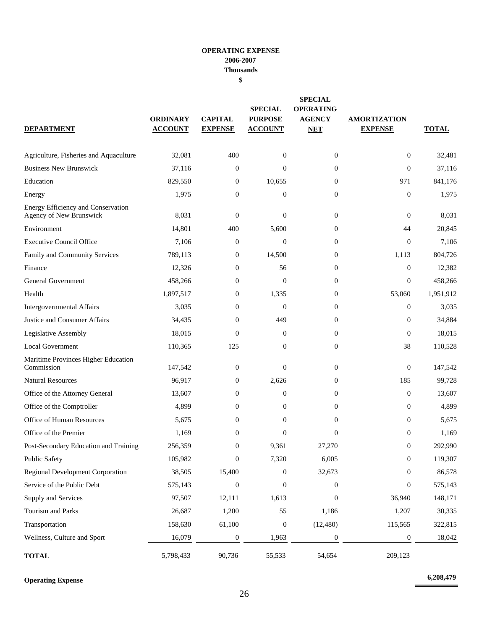#### **OPERATING EXPENSE 2006-2007 Thousands**

**\$**

| <b>DEPARTMENT</b>                                             | <b>ORDINARY</b><br><b>ACCOUNT</b> | <b>CAPITAL</b><br><b>EXPENSE</b> | <b>SPECIAL</b><br><b>PURPOSE</b><br><b>ACCOUNT</b> | <b>SPECIAL</b><br><b>OPERATING</b><br><b>AGENCY</b><br><b>NET</b> | <b>AMORTIZATION</b><br><b>EXPENSE</b> | <b>TOTAL</b> |
|---------------------------------------------------------------|-----------------------------------|----------------------------------|----------------------------------------------------|-------------------------------------------------------------------|---------------------------------------|--------------|
| Agriculture, Fisheries and Aquaculture                        | 32,081                            | 400                              | $\mathbf{0}$                                       | $\overline{0}$                                                    | $\boldsymbol{0}$                      | 32,481       |
| <b>Business New Brunswick</b>                                 | 37,116                            | $\boldsymbol{0}$                 | $\mathbf{0}$                                       | $\mathbf{0}$                                                      | $\mathbf{0}$                          | 37,116       |
| Education                                                     | 829,550                           | $\overline{0}$                   | 10,655                                             | $\overline{0}$                                                    | 971                                   | 841.176      |
| Energy                                                        | 1,975                             | $\overline{0}$                   | $\boldsymbol{0}$                                   | $\mathbf{0}$                                                      | $\mathbf{0}$                          | 1,975        |
| Energy Efficiency and Conservation<br>Agency of New Brunswick | 8,031                             | $\boldsymbol{0}$                 | $\theta$                                           | $\mathbf{0}$                                                      | $\mathbf{0}$                          | 8,031        |
| Environment                                                   | 14,801                            | 400                              | 5,600                                              | $\boldsymbol{0}$                                                  | 44                                    | 20,845       |
| <b>Executive Council Office</b>                               | 7,106                             | $\boldsymbol{0}$                 | $\overline{0}$                                     | $\mathbf{0}$                                                      | $\boldsymbol{0}$                      | 7,106        |
| Family and Community Services                                 | 789,113                           | $\boldsymbol{0}$                 | 14,500                                             | $\mathbf{0}$                                                      | 1,113                                 | 804,726      |
| Finance                                                       | 12,326                            | $\boldsymbol{0}$                 | 56                                                 | $\boldsymbol{0}$                                                  | $\mathbf{0}$                          | 12,382       |
| <b>General Government</b>                                     | 458,266                           | $\overline{0}$                   | $\mathbf{0}$                                       | $\overline{0}$                                                    | $\mathbf{0}$                          | 458,266      |
| Health                                                        | 1,897,517                         | $\overline{0}$                   | 1,335                                              | $\mathbf{0}$                                                      | 53,060                                | 1,951,912    |
| Intergovernmental Affairs                                     | 3,035                             | $\boldsymbol{0}$                 | $\boldsymbol{0}$                                   | $\mathbf{0}$                                                      | $\boldsymbol{0}$                      | 3,035        |
| Justice and Consumer Affairs                                  | 34,435                            | $\overline{0}$                   | 449                                                | $\overline{0}$                                                    | $\mathbf{0}$                          | 34,884       |
| Legislative Assembly                                          | 18,015                            | $\Omega$                         | $\theta$                                           | $\overline{0}$                                                    | $\mathbf{0}$                          | 18,015       |
| <b>Local Government</b>                                       | 110,365                           | 125                              | $\mathbf{0}$                                       | $\overline{0}$                                                    | 38                                    | 110,528      |
| Maritime Provinces Higher Education<br>Commission             | 147,542                           | $\boldsymbol{0}$                 | $\theta$                                           | $\overline{0}$                                                    | $\mathbf{0}$                          | 147,542      |
| <b>Natural Resources</b>                                      | 96,917                            | $\boldsymbol{0}$                 | 2,626                                              | $\mathbf{0}$                                                      | 185                                   | 99,728       |
| Office of the Attorney General                                | 13,607                            | $\boldsymbol{0}$                 | $\boldsymbol{0}$                                   | $\mathbf{0}$                                                      | $\boldsymbol{0}$                      | 13,607       |
| Office of the Comptroller                                     | 4,899                             | $\boldsymbol{0}$                 | $\theta$                                           | $\boldsymbol{0}$                                                  | $\mathbf{0}$                          | 4,899        |
| Office of Human Resources                                     | 5,675                             | $\overline{0}$                   | $\mathbf{0}$                                       | $\theta$                                                          | $\mathbf{0}$                          | 5,675        |
| Office of the Premier                                         | 1,169                             | $\overline{0}$                   | $\overline{0}$                                     | $\mathbf{0}$                                                      | $\mathbf{0}$                          | 1,169        |
| Post-Secondary Education and Training                         | 256,359                           | $\mathbf{0}$                     | 9,361                                              | 27,270                                                            | $\boldsymbol{0}$                      | 292,990      |
| <b>Public Safety</b>                                          | 105,982                           | $\boldsymbol{0}$                 | 7,320                                              | 6,005                                                             | $\boldsymbol{0}$                      | 119,307      |
| <b>Regional Development Corporation</b>                       | 38,505                            | 15,400                           | $\boldsymbol{0}$                                   | 32,673                                                            | $\boldsymbol{0}$                      | 86,578       |
| Service of the Public Debt                                    | 575,143                           | $\boldsymbol{0}$                 | $\boldsymbol{0}$                                   | $\mathbf{0}$                                                      | $\boldsymbol{0}$                      | 575,143      |
| Supply and Services                                           | 97,507                            | 12,111                           | 1,613                                              | $\mathbf{0}$                                                      | 36,940                                | 148,171      |
| Tourism and Parks                                             | 26,687                            | 1,200                            | 55                                                 | 1,186                                                             | 1,207                                 | 30,335       |
| Transportation                                                | 158,630                           | 61,100                           | $\boldsymbol{0}$                                   | (12, 480)                                                         | 115,565                               | 322,815      |
| Wellness, Culture and Sport                                   | 16,079                            | $\boldsymbol{0}$                 | 1,963                                              | $\boldsymbol{0}$                                                  | $\boldsymbol{0}$                      | 18,042       |
| <b>TOTAL</b>                                                  | 5,798,433                         | 90,736                           | 55,533                                             | 54,654                                                            | 209,123                               |              |

**Operating Expense 6,208,479**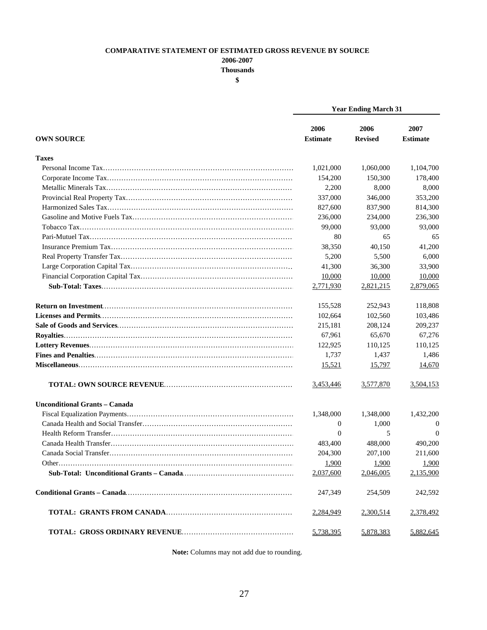#### **COMPARATIVE STATEMENT OF ESTIMATED GROSS REVENUE BY SOURCE**

**2006-2007**

**Thousands**

**\$**

|                                      | <b>Year Ending March 31</b> |                        |                         |  |
|--------------------------------------|-----------------------------|------------------------|-------------------------|--|
| <b>OWN SOURCE</b>                    | 2006<br><b>Estimate</b>     | 2006<br><b>Revised</b> | 2007<br><b>Estimate</b> |  |
| <b>Taxes</b>                         |                             |                        |                         |  |
|                                      | 1,021,000                   | 1,060,000              | 1,104,700               |  |
|                                      | 154,200                     | 150,300                | 178,400                 |  |
|                                      | 2,200                       | 8,000                  | 8,000                   |  |
|                                      | 337,000                     | 346,000                | 353,200                 |  |
|                                      | 827,600                     | 837,900                | 814,300                 |  |
|                                      | 236,000                     | 234,000                | 236,300                 |  |
|                                      | 99,000                      | 93,000                 | 93,000                  |  |
|                                      | 80                          | 65                     | 65                      |  |
|                                      | 38,350                      | 40,150                 | 41,200                  |  |
|                                      | 5,200                       | 5,500                  | 6,000                   |  |
|                                      | 41,300                      | 36,300                 | 33,900                  |  |
|                                      | 10,000                      | 10,000                 | 10,000                  |  |
|                                      | 2,771,930                   | 2,821,215              | 2,879,065               |  |
|                                      | 155,528                     | 252,943                | 118,808                 |  |
|                                      | 102,664                     | 102,560                | 103,486                 |  |
|                                      | 215,181                     | 208,124                | 209,237                 |  |
|                                      | 67,961                      | 65,670                 | 67,276                  |  |
|                                      | 122,925                     | 110,125                | 110,125                 |  |
|                                      | 1,737                       | 1,437                  | 1,486                   |  |
|                                      | 15,521                      | 15,797                 | 14,670                  |  |
|                                      | 3,453,446                   | 3,577,870              | 3,504,153               |  |
| <b>Unconditional Grants - Canada</b> |                             |                        |                         |  |
|                                      | 1,348,000                   | 1,348,000              | 1,432,200               |  |
|                                      | 0                           | 1,000                  | 0                       |  |
|                                      | $\overline{0}$              | 5                      | $\Omega$                |  |
|                                      | 483,400                     | 488,000                | 490,200                 |  |
|                                      | 204,300                     | 207,100                | 211,600                 |  |
|                                      | 1,900                       | 1,900                  | 1,900                   |  |
|                                      | 2,037,600                   | 2,046,005              | 2,135,900               |  |
|                                      | 247,349                     | 254,509                | 242,592                 |  |
|                                      | 2,284,949                   | 2,300,514              | 2,378,492               |  |
|                                      | 5,738,395                   | 5,878,383              | 5,882,645               |  |

**Note:** Columns may not add due to rounding.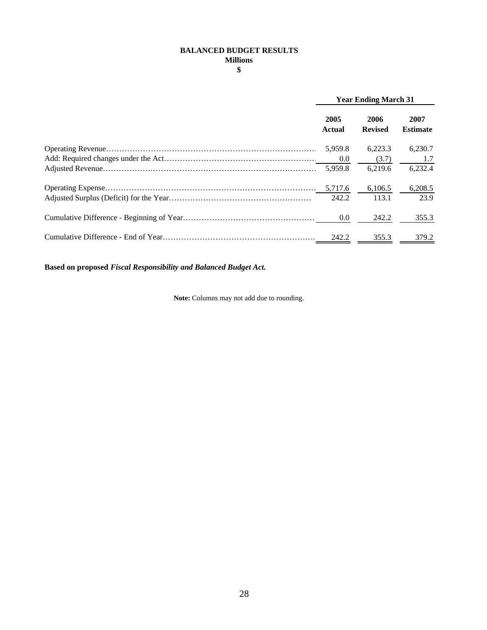#### **BALANCED BUDGET RESULTS Millions**

**\$**

| <b>Year Ending March 31</b> |                        |                         |  |
|-----------------------------|------------------------|-------------------------|--|
| 2005<br>Actual              | 2006<br><b>Revised</b> | 2007<br><b>Estimate</b> |  |
| 5.959.8                     | 6.223.3                | 6.230.7                 |  |
| 0.0                         | (3.7)                  | 1.7                     |  |
| 5.959.8                     | 6.219.6                | 6,232.4                 |  |
| 5,717.6                     | 6.106.5                | 6,208.5                 |  |
| 242.2                       | 113.1                  | 23.9                    |  |
| 0.0                         | 242.2                  | 355.3                   |  |
| 242.2                       | 355.3                  | 379.2                   |  |

**Based on proposed** *Fiscal Responsibility and Balanced Budget Act.*

**Note:** Columns may not add due to rounding.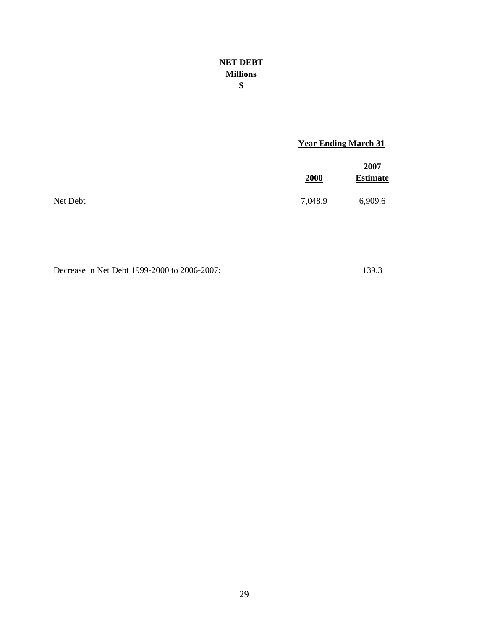#### **NET DEBT Millions \$**

#### **Year Ending March 31**

|          | 2000    | 2007<br><b>Estimate</b> |
|----------|---------|-------------------------|
| Net Debt | 7,048.9 | 6,909.6                 |

Decrease in Net Debt 1999-2000 to 2006-2007: 139.3